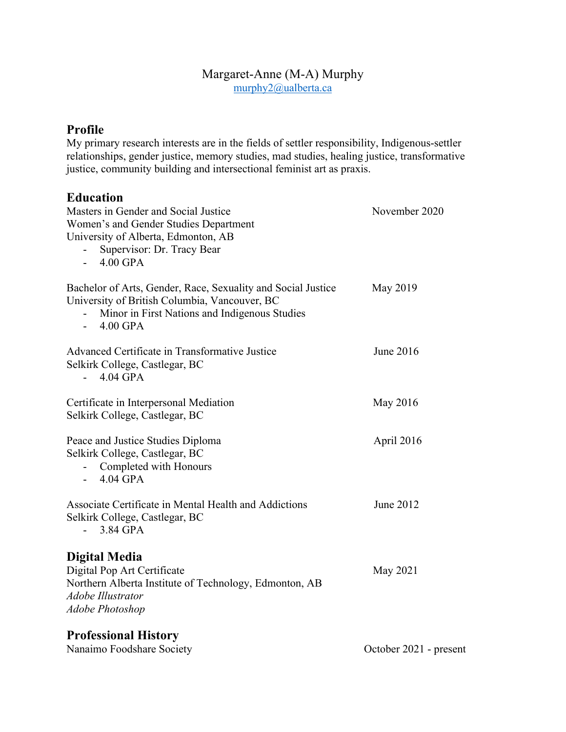#### Margaret-Anne (M-A) Murphy murphy2@ualberta.ca

## **Profile**

My primary research interests are in the fields of settler responsibility, Indigenous-settler relationships, gender justice, memory studies, mad studies, healing justice, transformative justice, community building and intersectional feminist art as praxis.

### **Education**

| Masters in Gender and Social Justice<br>Women's and Gender Studies Department<br>University of Alberta, Edmonton, AB<br>Supervisor: Dr. Tracy Bear<br>$4.00$ GPA              | November 2020 |
|-------------------------------------------------------------------------------------------------------------------------------------------------------------------------------|---------------|
| Bachelor of Arts, Gender, Race, Sexuality and Social Justice<br>University of British Columbia, Vancouver, BC<br>Minor in First Nations and Indigenous Studies<br>$-4.00$ GPA | May 2019      |
| Advanced Certificate in Transformative Justice<br>Selkirk College, Castlegar, BC<br>$4.04$ GPA<br>$\mathbf{L}^{\text{max}}$                                                   | June 2016     |
| Certificate in Interpersonal Mediation<br>Selkirk College, Castlegar, BC                                                                                                      | May 2016      |
| Peace and Justice Studies Diploma<br>Selkirk College, Castlegar, BC<br>- Completed with Honours<br>$-4.04$ GPA                                                                | April 2016    |
| Associate Certificate in Mental Health and Addictions<br>Selkirk College, Castlegar, BC<br>3.84 GPA<br>$\mathbf{L}^{\text{max}}$                                              | June 2012     |
| <b>Digital Media</b><br>Digital Pop Art Certificate<br>Northern Alberta Institute of Technology, Edmonton, AB<br><b>Adobe Illustrator</b><br><b>Adobe Photoshop</b>           | May 2021      |
| <b>Professional History</b>                                                                                                                                                   |               |

| Nanaimo Foodshare Society | October 2021 - present |
|---------------------------|------------------------|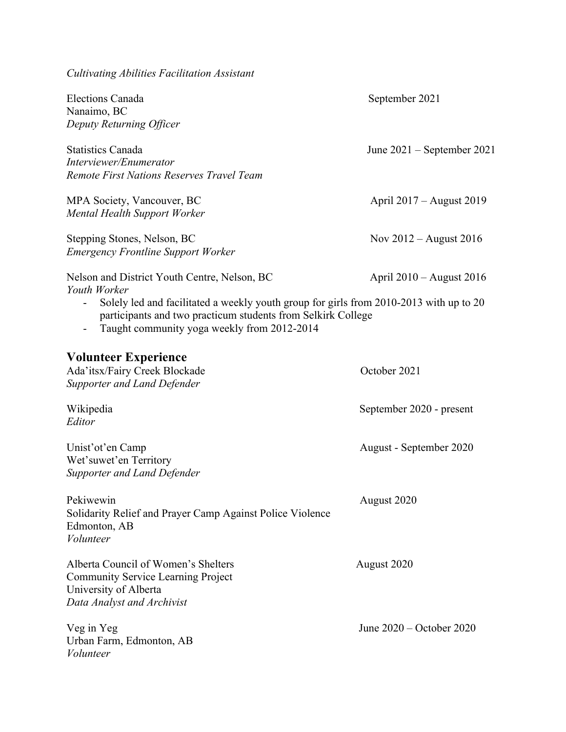| <b>Cultivating Abilities Facilitation Assistant</b>                                                                                                                                                   |                              |
|-------------------------------------------------------------------------------------------------------------------------------------------------------------------------------------------------------|------------------------------|
| <b>Elections Canada</b><br>Nanaimo, BC                                                                                                                                                                | September 2021               |
| Deputy Returning Officer                                                                                                                                                                              |                              |
| <b>Statistics Canada</b><br>Interviewer/Enumerator                                                                                                                                                    | June $2021$ – September 2021 |
| Remote First Nations Reserves Travel Team                                                                                                                                                             |                              |
| MPA Society, Vancouver, BC<br>Mental Health Support Worker                                                                                                                                            | April 2017 – August 2019     |
| Stepping Stones, Nelson, BC<br><b>Emergency Frontline Support Worker</b>                                                                                                                              | Nov $2012$ – August 2016     |
| Nelson and District Youth Centre, Nelson, BC<br>Youth Worker                                                                                                                                          | April $2010 -$ August $2016$ |
| Solely led and facilitated a weekly youth group for girls from 2010-2013 with up to 20<br>participants and two practicum students from Selkirk College<br>Taught community yoga weekly from 2012-2014 |                              |
| <b>Volunteer Experience</b><br>Ada'itsx/Fairy Creek Blockade<br>Supporter and Land Defender                                                                                                           | October 2021                 |
| Wikipedia<br>Editor                                                                                                                                                                                   | September 2020 - present     |
| Unist'ot'en Camp<br>Wet'suwet'en Territory<br>Supporter and Land Defender                                                                                                                             | August - September 2020      |
| Pekiwewin<br>Solidarity Relief and Prayer Camp Against Police Violence<br>Edmonton, AB<br>Volunteer                                                                                                   | August 2020                  |
| Alberta Council of Women's Shelters<br><b>Community Service Learning Project</b><br>University of Alberta<br>Data Analyst and Archivist                                                               | August 2020                  |
| Veg in Yeg<br>Urban Farm, Edmonton, AB<br>Volunteer                                                                                                                                                   | June 2020 – October 2020     |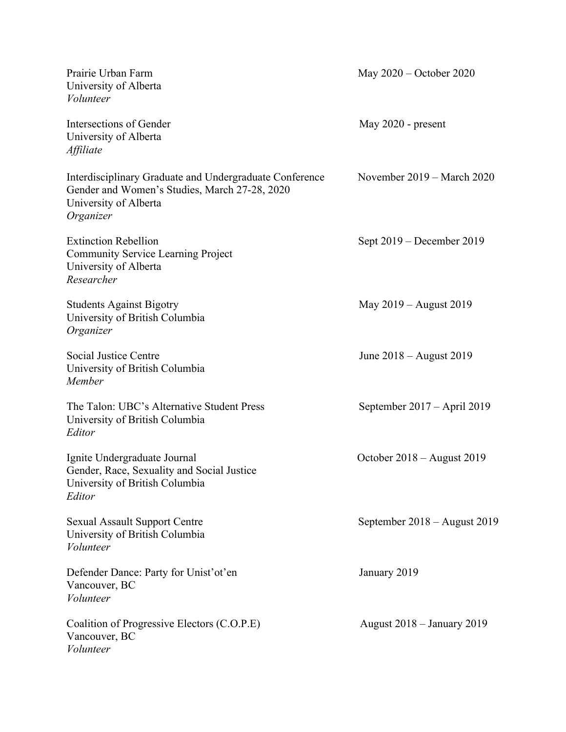| Prairie Urban Farm<br>University of Alberta<br>Volunteer                                                                                       | May $2020$ – October 2020         |
|------------------------------------------------------------------------------------------------------------------------------------------------|-----------------------------------|
| Intersections of Gender<br>University of Alberta<br>Affiliate                                                                                  | May 2020 - present                |
| Interdisciplinary Graduate and Undergraduate Conference<br>Gender and Women's Studies, March 27-28, 2020<br>University of Alberta<br>Organizer | November 2019 – March 2020        |
| <b>Extinction Rebellion</b><br><b>Community Service Learning Project</b><br>University of Alberta<br>Researcher                                | Sept $2019$ – December 2019       |
| <b>Students Against Bigotry</b><br>University of British Columbia<br>Organizer                                                                 | May 2019 – August 2019            |
| Social Justice Centre<br>University of British Columbia<br>Member                                                                              | June 2018 - August 2019           |
| The Talon: UBC's Alternative Student Press<br>University of British Columbia<br>Editor                                                         | September 2017 – April 2019       |
| Ignite Undergraduate Journal<br>Gender, Race, Sexuality and Social Justice<br>University of British Columbia<br>Editor                         | October $2018 -$ August 2019      |
| <b>Sexual Assault Support Centre</b><br>University of British Columbia<br>Volunteer                                                            | September 2018 – August 2019      |
| Defender Dance: Party for Unist'ot'en<br>Vancouver, BC<br>Volunteer                                                                            | January 2019                      |
| Coalition of Progressive Electors (C.O.P.E)<br>Vancouver, BC<br>Volunteer                                                                      | <b>August 2018 – January 2019</b> |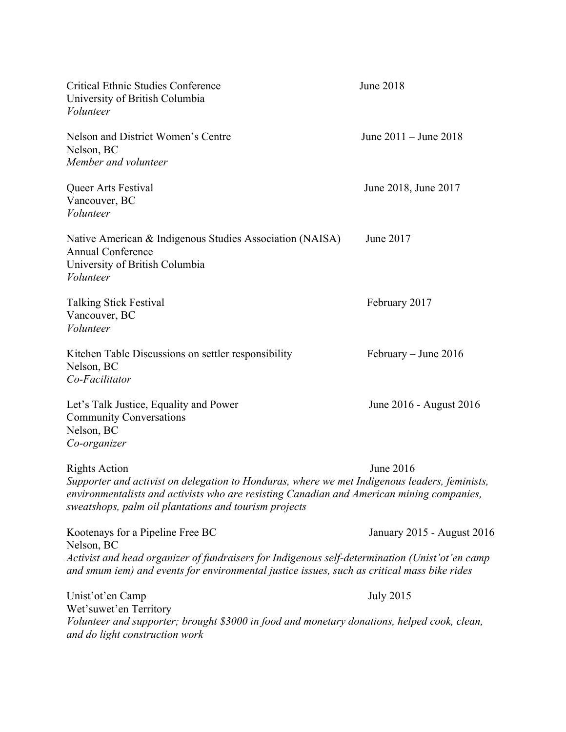| <b>Critical Ethnic Studies Conference</b><br>University of British Columbia<br>Volunteer                                                                                                                                                                                    | June 2018                  |  |
|-----------------------------------------------------------------------------------------------------------------------------------------------------------------------------------------------------------------------------------------------------------------------------|----------------------------|--|
| Nelson and District Women's Centre<br>Nelson, BC<br>Member and volunteer                                                                                                                                                                                                    | June $2011 -$ June $2018$  |  |
| Queer Arts Festival<br>Vancouver, BC<br>Volunteer                                                                                                                                                                                                                           | June 2018, June 2017       |  |
| Native American & Indigenous Studies Association (NAISA)<br><b>Annual Conference</b><br>University of British Columbia<br>Volunteer                                                                                                                                         | June 2017                  |  |
| <b>Talking Stick Festival</b><br>Vancouver, BC<br>Volunteer                                                                                                                                                                                                                 | February 2017              |  |
| Kitchen Table Discussions on settler responsibility<br>Nelson, BC<br>Co-Facilitator                                                                                                                                                                                         | February – June $2016$     |  |
| Let's Talk Justice, Equality and Power<br><b>Community Conversations</b><br>Nelson, BC<br>Co-organizer                                                                                                                                                                      | June 2016 - August 2016    |  |
| <b>Rights Action</b><br>Supporter and activist on delegation to Honduras, where we met Indigenous leaders, feminists,<br>environmentalists and activists who are resisting Canadian and American mining companies,<br>sweatshops, palm oil plantations and tourism projects | June 2016                  |  |
| Kootenays for a Pipeline Free BC                                                                                                                                                                                                                                            | January 2015 - August 2016 |  |
| Nelson, BC<br>Activist and head organizer of fundraisers for Indigenous self-determination (Unist'ot'en camp<br>and smum iem) and events for environmental justice issues, such as critical mass bike rides                                                                 |                            |  |
| Unist'ot'en Camp<br>Wet'suwet'en Territory<br>Volunteer and supporter; brought \$3000 in food and monetary donations, helped cook, clean,<br>and do light construction work                                                                                                 | <b>July 2015</b>           |  |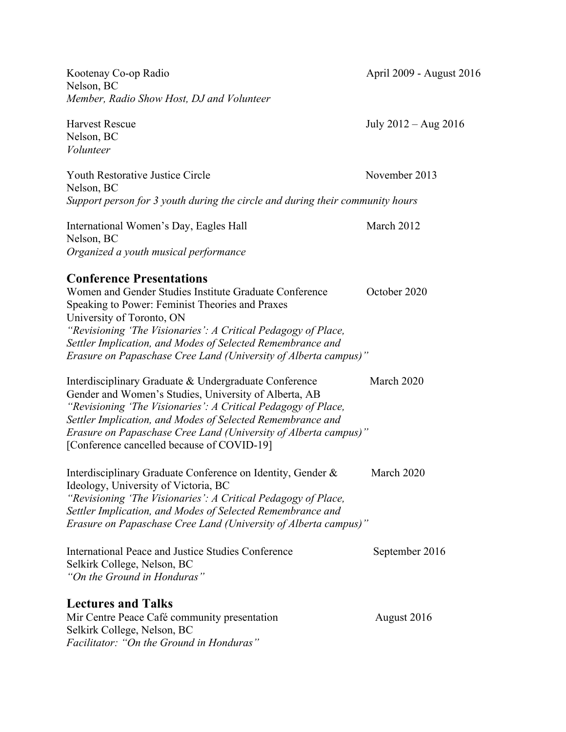Kootenay Co-op Radio April 2009 - August 2016 Nelson, BC *Member, Radio Show Host, DJ and Volunteer* Harvest Rescue July 2012 – Aug 2016 Nelson, BC *Volunteer* Youth Restorative Justice Circle November 2013 Nelson, BC *Support person for 3 youth during the circle and during their community hours* International Women's Day, Eagles Hall March 2012 Nelson, BC *Organized a youth musical performance* **Conference Presentations** Women and Gender Studies Institute Graduate Conference **October 2020** Speaking to Power: Feminist Theories and Praxes University of Toronto, ON *"Revisioning 'The Visionaries': A Critical Pedagogy of Place, Settler Implication, and Modes of Selected Remembrance and Erasure on Papaschase Cree Land (University of Alberta campus)"* Interdisciplinary Graduate & Undergraduate Conference March 2020 Gender and Women's Studies, University of Alberta, AB *"Revisioning 'The Visionaries': A Critical Pedagogy of Place, Settler Implication, and Modes of Selected Remembrance and Erasure on Papaschase Cree Land (University of Alberta campus)"* [Conference cancelled because of COVID-19] Interdisciplinary Graduate Conference on Identity, Gender & March 2020 Ideology, University of Victoria, BC *"Revisioning 'The Visionaries': A Critical Pedagogy of Place, Settler Implication, and Modes of Selected Remembrance and Erasure on Papaschase Cree Land (University of Alberta campus)"* International Peace and Justice Studies Conference September 2016 Selkirk College, Nelson, BC *"On the Ground in Honduras"* **Lectures and Talks** Mir Centre Peace Café community presentation August 2016 Selkirk College, Nelson, BC *Facilitator: "On the Ground in Honduras"*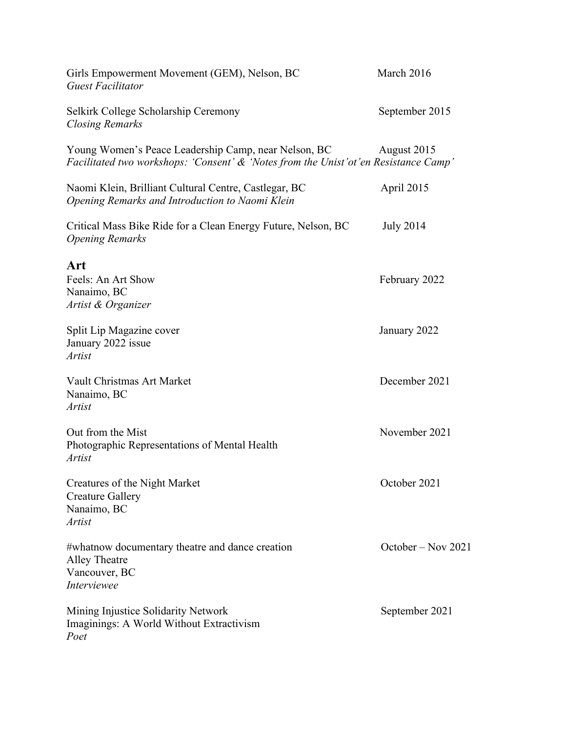| Girls Empowerment Movement (GEM), Nelson, BC<br><b>Guest Facilitator</b>                                                                      | March 2016         |
|-----------------------------------------------------------------------------------------------------------------------------------------------|--------------------|
| Selkirk College Scholarship Ceremony<br><b>Closing Remarks</b>                                                                                | September 2015     |
| Young Women's Peace Leadership Camp, near Nelson, BC<br>Facilitated two workshops: 'Consent' & 'Notes from the Unist' ot' en Resistance Camp' | August 2015        |
| Naomi Klein, Brilliant Cultural Centre, Castlegar, BC<br>Opening Remarks and Introduction to Naomi Klein                                      | April 2015         |
| Critical Mass Bike Ride for a Clean Energy Future, Nelson, BC<br><b>Opening Remarks</b>                                                       | <b>July 2014</b>   |
| Art<br>Feels: An Art Show<br>Nanaimo, BC<br>Artist & Organizer                                                                                | February 2022      |
| Split Lip Magazine cover<br>January 2022 issue<br><b>Artist</b>                                                                               | January 2022       |
| Vault Christmas Art Market<br>Nanaimo, BC<br><b>Artist</b>                                                                                    | December 2021      |
| Out from the Mist<br>Photographic Representations of Mental Health<br><b>Artist</b>                                                           | November 2021      |
| Creatures of the Night Market<br><b>Creature Gallery</b><br>Nanaimo, BC<br><b>Artist</b>                                                      | October 2021       |
| #whatnow documentary theatre and dance creation<br>Alley Theatre<br>Vancouver, BC<br>Interviewee                                              | October – Nov 2021 |
| Mining Injustice Solidarity Network<br>Imaginings: A World Without Extractivism<br>Poet                                                       | September 2021     |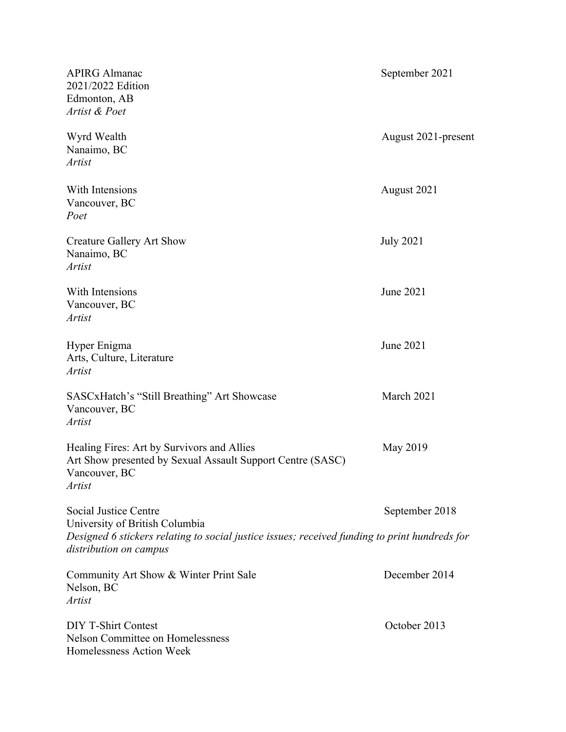| <b>APIRG Almanac</b><br>2021/2022 Edition<br>Edmonton, AB<br>Artist & Poet                                                                                                         | September 2021      |
|------------------------------------------------------------------------------------------------------------------------------------------------------------------------------------|---------------------|
| Wyrd Wealth<br>Nanaimo, BC<br><b>Artist</b>                                                                                                                                        | August 2021-present |
| With Intensions<br>Vancouver, BC<br>Poet                                                                                                                                           | August 2021         |
| <b>Creature Gallery Art Show</b><br>Nanaimo, BC<br><b>Artist</b>                                                                                                                   | <b>July 2021</b>    |
| With Intensions<br>Vancouver, BC<br>Artist                                                                                                                                         | June 2021           |
| Hyper Enigma<br>Arts, Culture, Literature<br>Artist                                                                                                                                | June 2021           |
| SASCxHatch's "Still Breathing" Art Showcase<br>Vancouver, BC<br><b>Artist</b>                                                                                                      | March 2021          |
| Healing Fires: Art by Survivors and Allies<br>Art Show presented by Sexual Assault Support Centre (SASC)<br>Vancouver, BC<br><b>Artist</b>                                         | May 2019            |
| Social Justice Centre<br>University of British Columbia<br>Designed 6 stickers relating to social justice issues; received funding to print hundreds for<br>distribution on campus | September 2018      |
| Community Art Show & Winter Print Sale<br>Nelson, BC<br><i>Artist</i>                                                                                                              | December 2014       |
| <b>DIY T-Shirt Contest</b><br><b>Nelson Committee on Homelessness</b><br>Homelessness Action Week                                                                                  | October 2013        |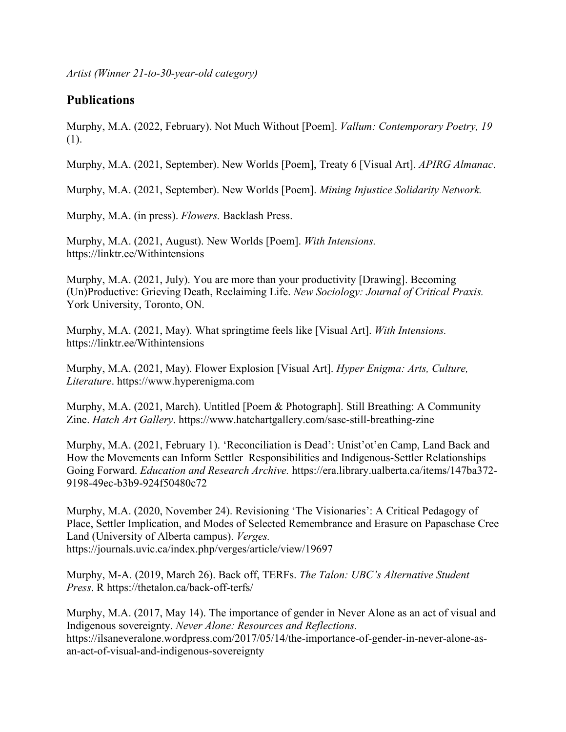*Artist (Winner 21-to-30-year-old category)*

#### **Publications**

Murphy, M.A. (2022, February). Not Much Without [Poem]. *Vallum: Contemporary Poetry, 19*  (1).

Murphy, M.A. (2021, September). New Worlds [Poem], Treaty 6 [Visual Art]. *APIRG Almanac*.

Murphy, M.A. (2021, September). New Worlds [Poem]. *Mining Injustice Solidarity Network.*

Murphy, M.A. (in press). *Flowers.* Backlash Press.

Murphy, M.A. (2021, August). New Worlds [Poem]. *With Intensions.*  https://linktr.ee/Withintensions

Murphy, M.A. (2021, July). You are more than your productivity [Drawing]. Becoming (Un)Productive: Grieving Death, Reclaiming Life. *New Sociology: Journal of Critical Praxis.* York University, Toronto, ON.

Murphy, M.A. (2021, May). What springtime feels like [Visual Art]. *With Intensions.* https://linktr.ee/Withintensions

Murphy, M.A. (2021, May). Flower Explosion [Visual Art]. *Hyper Enigma: Arts, Culture, Literature*. https://www.hyperenigma.com

Murphy, M.A. (2021, March). Untitled [Poem & Photograph]. Still Breathing: A Community Zine. *Hatch Art Gallery*. https://www.hatchartgallery.com/sasc-still-breathing-zine

Murphy, M.A. (2021, February 1). 'Reconciliation is Dead': Unist'ot'en Camp, Land Back and How the Movements can Inform Settler Responsibilities and Indigenous-Settler Relationships Going Forward. *Education and Research Archive.* https://era.library.ualberta.ca/items/147ba372- 9198-49ec-b3b9-924f50480c72

Murphy, M.A. (2020, November 24). Revisioning 'The Visionaries': A Critical Pedagogy of Place, Settler Implication, and Modes of Selected Remembrance and Erasure on Papaschase Cree Land (University of Alberta campus). *Verges.* https://journals.uvic.ca/index.php/verges/article/view/19697

Murphy, M-A. (2019, March 26). Back off, TERFs. *The Talon: UBC's Alternative Student Press*. R https://thetalon.ca/back-off-terfs/

Murphy, M.A. (2017, May 14). The importance of gender in Never Alone as an act of visual and Indigenous sovereignty. *Never Alone: Resources and Reflections.* https://ilsaneveralone.wordpress.com/2017/05/14/the-importance-of-gender-in-never-alone-asan-act-of-visual-and-indigenous-sovereignty